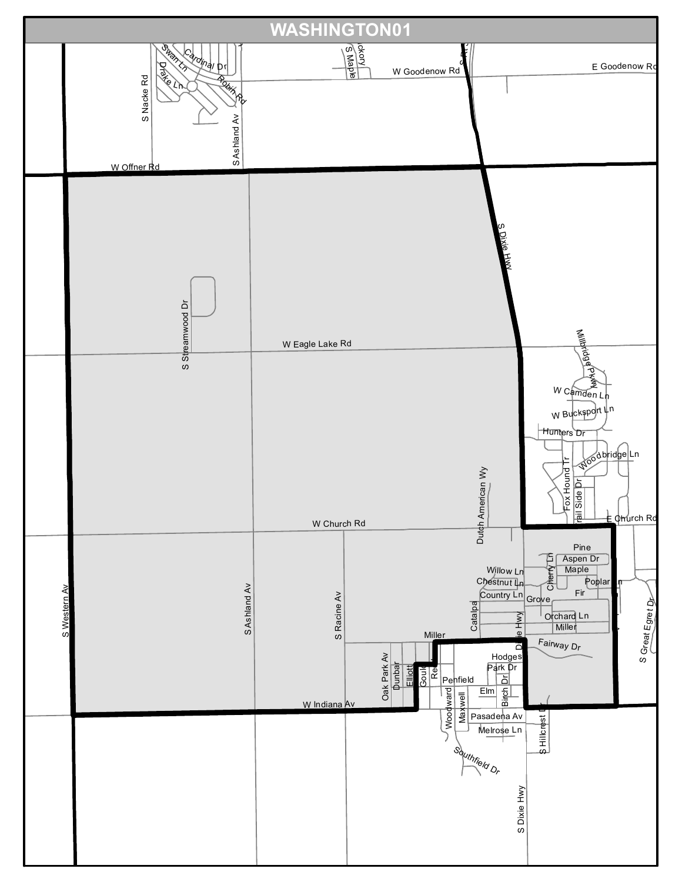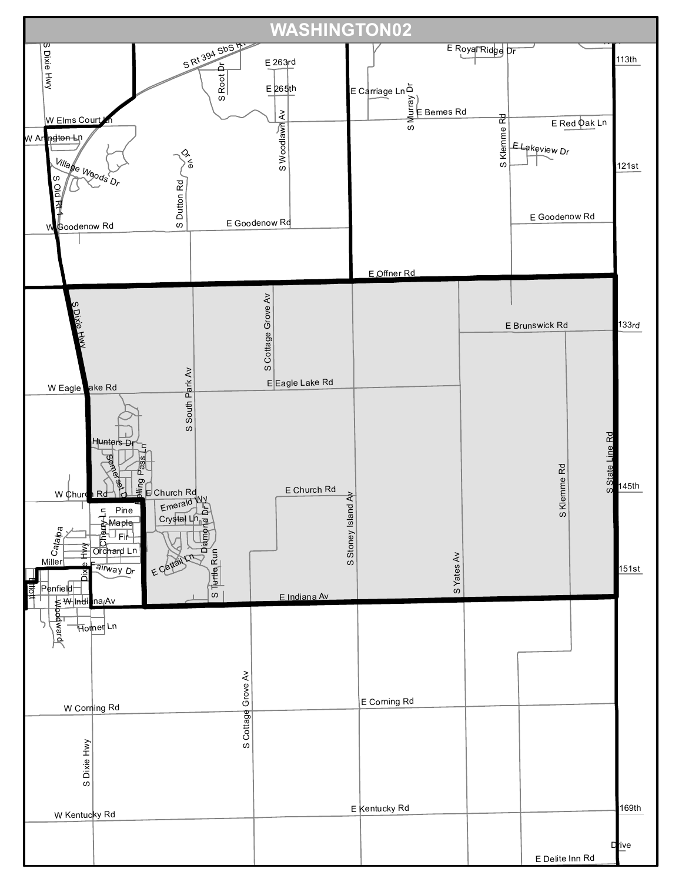